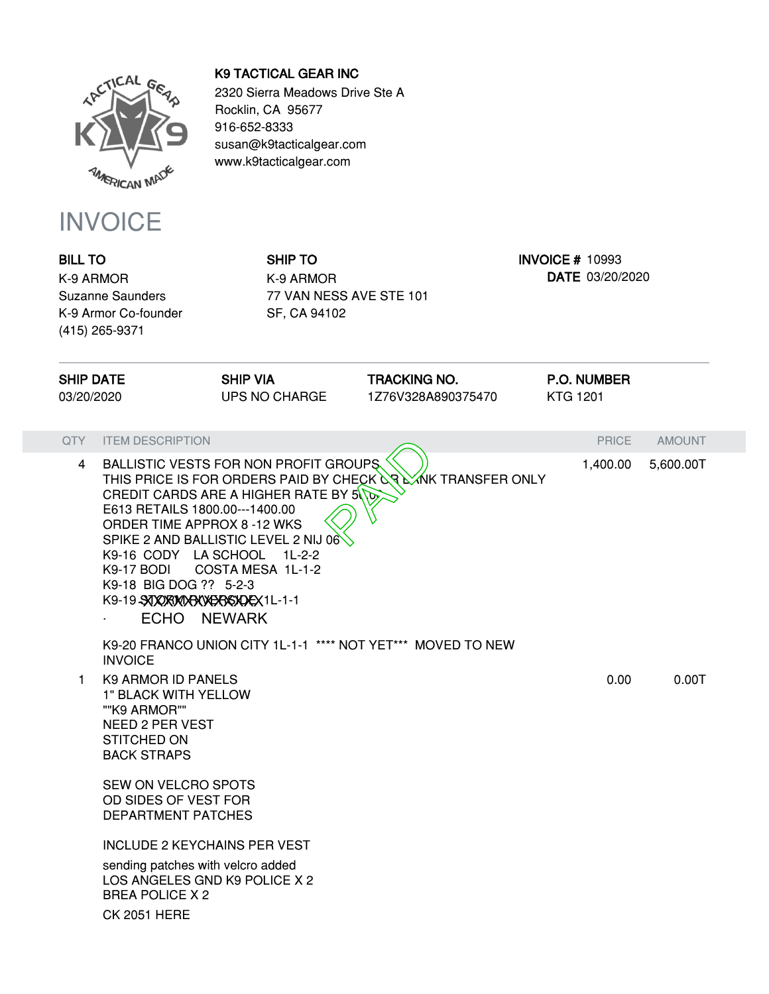

## INVOICE

**BILL TO** K-9 ARMOR Suzanne Saunders K-9 Armor Co-founder (415) 265-9371

## **K9 TACTICAL GEAR INC**

2320 Sierra Meadows Drive Ste A Rocklin, CA 95677 916-652-8333 susan@k9tacticalgear.com www.k9tacticalgear.com

> **SHIP TO** K-9 ARMOR 77 VAN NESS AVE STE 101 SF, CA 94102

**INVOICE #** 10993 **DATE** 03/20/2020

| <b>SHIP DATE</b><br>03/20/2020 |                                                                                                                                                                                        | <b>SHIP VIA</b><br><b>UPS NO CHARGE</b>                                                                                                      | <b>TRACKING NO.</b><br>1Z76V328A890375470                    | <b>P.O. NUMBER</b><br><b>KTG 1201</b> |               |
|--------------------------------|----------------------------------------------------------------------------------------------------------------------------------------------------------------------------------------|----------------------------------------------------------------------------------------------------------------------------------------------|--------------------------------------------------------------|---------------------------------------|---------------|
| QTY                            | <b>ITEM DESCRIPTION</b>                                                                                                                                                                |                                                                                                                                              |                                                              | <b>PRICE</b>                          | <b>AMOUNT</b> |
| $\overline{4}$                 | E613 RETAILS 1800.00---1400.00<br>ORDER TIME APPROX 8-12 WKS<br>K9-16 CODY LA SCHOOL 1L-2-2<br>K9-17 BODI<br>K9-18 BIG DOG ?? 5-2-3<br>K9-19-SUXXXXXXXXXXXXXXXXXX1L-1-1<br>ECHO NEWARK | BALLISTIC VESTS FOR NON PROFIT GROUPS<br>CREDIT CARDS ARE A HIGHER RATE BY 5\\O<br>SPIKE 2 AND BALLISTIC LEVEL 2 NIJ 06<br>COSTA MESA 1L-1-2 | THIS PRICE IS FOR ORDERS PAID BY CHECK OR LANK TRANSFER ONLY | 1,400.00                              | 5,600.00T     |
|                                | <b>INVOICE</b>                                                                                                                                                                         |                                                                                                                                              | K9-20 FRANCO UNION CITY 1L-1-1 **** NOT YET*** MOVED TO NEW  |                                       |               |
| 1.                             | <b>K9 ARMOR ID PANELS</b><br>1" BLACK WITH YELLOW<br>""K9 ARMOR""<br><b>NEED 2 PER VEST</b><br><b>STITCHED ON</b><br><b>BACK STRAPS</b><br><b>SEW ON VELCRO SPOTS</b>                  |                                                                                                                                              |                                                              | 0.00                                  | 0.00T         |
|                                | OD SIDES OF VEST FOR<br><b>DEPARTMENT PATCHES</b>                                                                                                                                      |                                                                                                                                              |                                                              |                                       |               |
|                                | <b>INCLUDE 2 KEYCHAINS PER VEST</b><br>sending patches with velcro added<br>LOS ANGELES GND K9 POLICE X 2<br><b>BREA POLICE X 2</b><br><b>CK 2051 HERE</b>                             |                                                                                                                                              |                                                              |                                       |               |